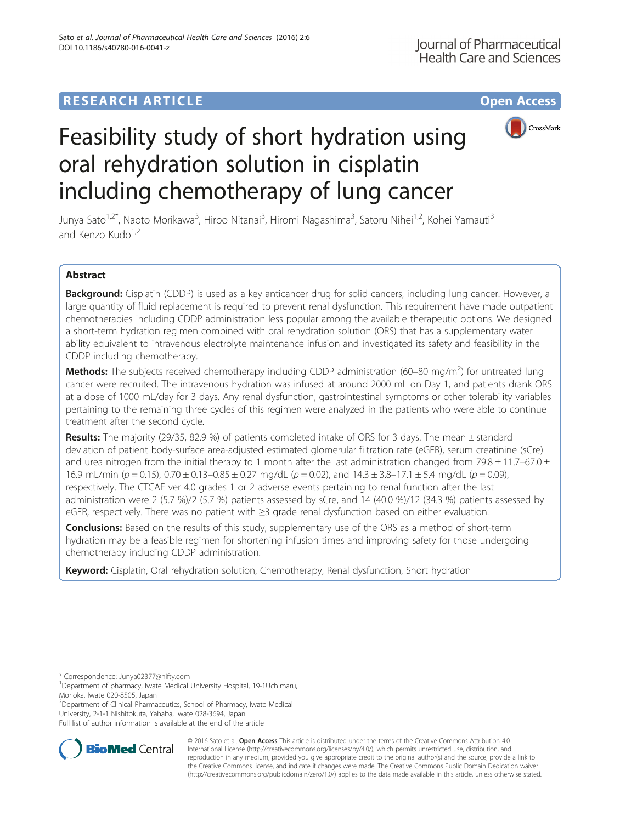## **RESEARCH ARTICLE Example 2014 12:30 The Contract of Contract ACCESS**



# Feasibility study of short hydration using oral rehydration solution in cisplatin including chemotherapy of lung cancer

Junya Sato<sup>1,2\*</sup>, Naoto Morikawa<sup>3</sup>, Hiroo Nitanai<sup>3</sup>, Hiromi Nagashima<sup>3</sup>, Satoru Nihei<sup>1,2</sup>, Kohei Yamauti<sup>3</sup> and Kenzo Kudo $1,2$ 

## Abstract

Background: Cisplatin (CDDP) is used as a key anticancer drug for solid cancers, including lung cancer. However, a large quantity of fluid replacement is required to prevent renal dysfunction. This requirement have made outpatient chemotherapies including CDDP administration less popular among the available therapeutic options. We designed a short-term hydration regimen combined with oral rehydration solution (ORS) that has a supplementary water ability equivalent to intravenous electrolyte maintenance infusion and investigated its safety and feasibility in the CDDP including chemotherapy.

Methods: The subjects received chemotherapy including CDDP administration (60–80 mg/m<sup>2</sup>) for untreated lung cancer were recruited. The intravenous hydration was infused at around 2000 mL on Day 1, and patients drank ORS at a dose of 1000 mL/day for 3 days. Any renal dysfunction, gastrointestinal symptoms or other tolerability variables pertaining to the remaining three cycles of this regimen were analyzed in the patients who were able to continue treatment after the second cycle.

Results: The majority (29/35, 82.9 %) of patients completed intake of ORS for 3 days. The mean ± standard deviation of patient body-surface area-adjusted estimated glomerular filtration rate (eGFR), serum creatinine (sCre) and urea nitrogen from the initial therapy to 1 month after the last administration changed from 79.8  $\pm$  11.7–67.0  $\pm$ 16.9 mL/min ( $p = 0.15$ ),  $0.70 \pm 0.13 - 0.85 \pm 0.27$  mg/dL ( $p = 0.02$ ), and  $14.3 \pm 3.8 - 17.1 \pm 5.4$  mg/dL ( $p = 0.09$ ), respectively. The CTCAE ver 4.0 grades 1 or 2 adverse events pertaining to renal function after the last administration were 2 (5.7 %)/2 (5.7 %) patients assessed by sCre, and 14 (40.0 %)/12 (34.3 %) patients assessed by eGFR, respectively. There was no patient with ≥3 grade renal dysfunction based on either evaluation.

**Conclusions:** Based on the results of this study, supplementary use of the ORS as a method of short-term hydration may be a feasible regimen for shortening infusion times and improving safety for those undergoing chemotherapy including CDDP administration.

Keyword: Cisplatin, Oral rehydration solution, Chemotherapy, Renal dysfunction, Short hydration

<sup>2</sup> Department of Clinical Pharmaceutics, School of Pharmacy, Iwate Medical University, 2-1-1 Nishitokuta, Yahaba, Iwate 028-3694, Japan

Full list of author information is available at the end of the article



© 2016 Sato et al. Open Access This article is distributed under the terms of the Creative Commons Attribution 4.0 International License [\(http://creativecommons.org/licenses/by/4.0/](http://creativecommons.org/licenses/by/4.0/)), which permits unrestricted use, distribution, and reproduction in any medium, provided you give appropriate credit to the original author(s) and the source, provide a link to the Creative Commons license, and indicate if changes were made. The Creative Commons Public Domain Dedication waiver [\(http://creativecommons.org/publicdomain/zero/1.0/](http://creativecommons.org/publicdomain/zero/1.0/)) applies to the data made available in this article, unless otherwise stated.

<sup>\*</sup> Correspondence: [Junya02377@nifty.com](mailto:Junya02377@nifty.com) <sup>1</sup>

<sup>&</sup>lt;sup>1</sup>Department of pharmacy, Iwate Medical University Hospital, 19-1Uchimaru, Morioka, Iwate 020-8505, Japan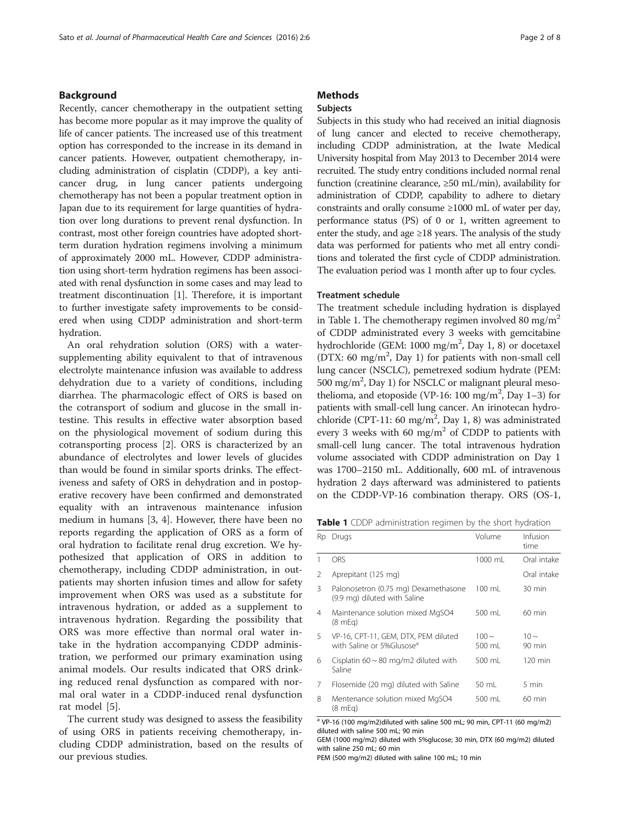#### Background

Recently, cancer chemotherapy in the outpatient setting has become more popular as it may improve the quality of life of cancer patients. The increased use of this treatment option has corresponded to the increase in its demand in cancer patients. However, outpatient chemotherapy, including administration of cisplatin (CDDP), a key anticancer drug, in lung cancer patients undergoing chemotherapy has not been a popular treatment option in Japan due to its requirement for large quantities of hydration over long durations to prevent renal dysfunction. In contrast, most other foreign countries have adopted shortterm duration hydration regimens involving a minimum of approximately 2000 mL. However, CDDP administration using short-term hydration regimens has been associated with renal dysfunction in some cases and may lead to treatment discontinuation [[1\]](#page--1-0). Therefore, it is important to further investigate safety improvements to be considered when using CDDP administration and short-term hydration.

An oral rehydration solution (ORS) with a watersupplementing ability equivalent to that of intravenous electrolyte maintenance infusion was available to address dehydration due to a variety of conditions, including diarrhea. The pharmacologic effect of ORS is based on the cotransport of sodium and glucose in the small intestine. This results in effective water absorption based on the physiological movement of sodium during this cotransporting process [\[2\]](#page--1-0). ORS is characterized by an abundance of electrolytes and lower levels of glucides than would be found in similar sports drinks. The effectiveness and safety of ORS in dehydration and in postoperative recovery have been confirmed and demonstrated equality with an intravenous maintenance infusion medium in humans [[3, 4](#page--1-0)]. However, there have been no reports regarding the application of ORS as a form of oral hydration to facilitate renal drug excretion. We hypothesized that application of ORS in addition to chemotherapy, including CDDP administration, in outpatients may shorten infusion times and allow for safety improvement when ORS was used as a substitute for intravenous hydration, or added as a supplement to intravenous hydration. Regarding the possibility that ORS was more effective than normal oral water intake in the hydration accompanying CDDP administration, we performed our primary examination using animal models. Our results indicated that ORS drinking reduced renal dysfunction as compared with normal oral water in a CDDP-induced renal dysfunction rat model [\[5](#page--1-0)].

The current study was designed to assess the feasibility of using ORS in patients receiving chemotherapy, including CDDP administration, based on the results of our previous studies.

## **Methods**

#### Subjects

Subjects in this study who had received an initial diagnosis of lung cancer and elected to receive chemotherapy, including CDDP administration, at the Iwate Medical University hospital from May 2013 to December 2014 were recruited. The study entry conditions included normal renal function (creatinine clearance,  $\geq 50$  mL/min), availability for administration of CDDP, capability to adhere to dietary constraints and orally consume ≥1000 mL of water per day, performance status (PS) of 0 or 1, written agreement to enter the study, and age  $\geq$ 18 years. The analysis of the study data was performed for patients who met all entry conditions and tolerated the first cycle of CDDP administration. The evaluation period was 1 month after up to four cycles.

#### Treatment schedule

The treatment schedule including hydration is displayed in Table 1. The chemotherapy regimen involved 80 mg/m<sup>2</sup> of CDDP administrated every 3 weeks with gemcitabine hydrochloride (GEM: 1000 mg/m<sup>2</sup>, Day 1, 8) or docetaxel (DTX: 60 mg/m<sup>2</sup>, Day 1) for patients with non-small cell lung cancer (NSCLC), pemetrexed sodium hydrate (PEM: 500 mg/m<sup>2</sup>, Day 1) for NSCLC or malignant pleural mesothelioma, and etoposide (VP-16: 100 mg/m<sup>2</sup>, Day 1-3) for patients with small-cell lung cancer. An irinotecan hydrochloride (CPT-11: 60 mg/m<sup>2</sup>, Day 1, 8) was administrated every 3 weeks with 60 mg/m<sup>2</sup> of CDDP to patients with small-cell lung cancer. The total intravenous hydration volume associated with CDDP administration on Day 1 was 1700–2150 mL. Additionally, 600 mL of intravenous hydration 2 days afterward was administered to patients on the CDDP-VP-16 combination therapy. ORS (OS-1,

| Table 1 CDDP administration regimen by the short hydration |  |  |
|------------------------------------------------------------|--|--|
|------------------------------------------------------------|--|--|

| Rp | Drugs                                                                         | Volume               | Infusion<br>time              |
|----|-------------------------------------------------------------------------------|----------------------|-------------------------------|
| 1  | ORS                                                                           | 1000 mL              | Oral intake                   |
| 2  | Aprepitant (125 mg)                                                           |                      | Oral intake                   |
| 3  | Palonosetron (0.75 mg) Dexamethasone<br>(9.9 mg) diluted with Saline          | 100 mL               | 30 min                        |
| 4  | Maintenance solution mixed MgSO4<br>$(8 \text{ mEq})$                         | 500 ml               | $60 \text{ min}$              |
| 5  | VP-16, CPT-11, GEM, DTX, PEM diluted<br>with Saline or 5%Glusose <sup>a</sup> | $100 \sim$<br>500 ml | $10 \sim$<br>$90 \text{ min}$ |
| 6  | Cisplatin $60 \sim 80$ mg/m2 diluted with<br>Saline                           | 500 ml               | $120 \text{ min}$             |
| 7  | Flosemide (20 mg) diluted with Saline                                         | 50 mL                | 5 min                         |
| 8  | Mentenance solution mixed MgSO4<br>(8 mEg)                                    | 500 ml               | $60 \text{ min}$              |

<sup>a</sup> VP-16 (100 mg/m2)diluted with saline 500 mL; 90 min, CPT-11 (60 mg/m2) diluted with saline 500 mL; 90 min

GEM (1000 mg/m2) diluted with 5%glucose; 30 min, DTX (60 mg/m2) diluted with saline 250 mL; 60 min

PEM (500 mg/m2) diluted with saline 100 mL; 10 min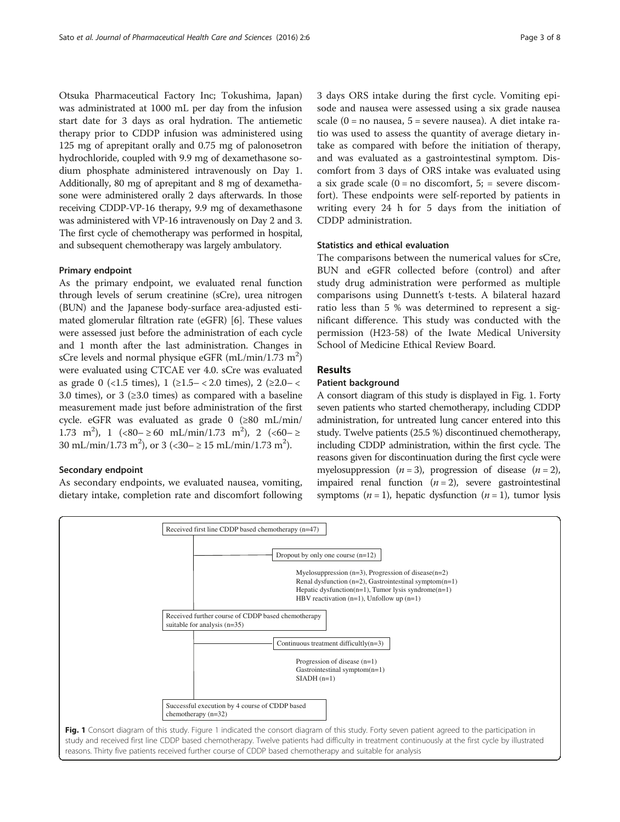Otsuka Pharmaceutical Factory Inc; Tokushima, Japan) was administrated at 1000 mL per day from the infusion start date for 3 days as oral hydration. The antiemetic therapy prior to CDDP infusion was administered using 125 mg of aprepitant orally and 0.75 mg of palonosetron hydrochloride, coupled with 9.9 mg of dexamethasone sodium phosphate administered intravenously on Day 1. Additionally, 80 mg of aprepitant and 8 mg of dexamethasone were administered orally 2 days afterwards. In those receiving CDDP-VP-16 therapy, 9.9 mg of dexamethasone was administered with VP-16 intravenously on Day 2 and 3. The first cycle of chemotherapy was performed in hospital, and subsequent chemotherapy was largely ambulatory.

#### Primary endpoint

As the primary endpoint, we evaluated renal function through levels of serum creatinine (sCre), urea nitrogen (BUN) and the Japanese body-surface area-adjusted estimated glomerular filtration rate (eGFR) [[6\]](#page--1-0). These values were assessed just before the administration of each cycle and 1 month after the last administration. Changes in sCre levels and normal physique eGFR (mL/min/1.73 m<sup>2</sup>) were evaluated using CTCAE ver 4.0. sCre was evaluated as grade 0 (<1.5 times),  $1$  (≥1.5– < 2.0 times),  $2$  (≥2.0– < 3.0 times), or 3 ( $\geq$ 3.0 times) as compared with a baseline measurement made just before administration of the first cycle. eGFR was evaluated as grade 0 (≥80 mL/min/ 1.73 m<sup>2</sup>), 1  $(\angle 80 - \ge 60 \text{ mL/min}/1.73 \text{ m}^2)$ , 2  $(\angle 60 - \ge 10 \text{ m})$ 30 mL/min/1.73 m<sup>2</sup>), or 3 (<30-  $\geq$  15 mL/min/1.73 m<sup>2</sup>).

#### Secondary endpoint

As secondary endpoints, we evaluated nausea, vomiting, dietary intake, completion rate and discomfort following 3 days ORS intake during the first cycle. Vomiting episode and nausea were assessed using a six grade nausea scale  $(0 = no$  nausea,  $5 =$  severe nausea). A diet intake ratio was used to assess the quantity of average dietary intake as compared with before the initiation of therapy, and was evaluated as a gastrointestinal symptom. Discomfort from 3 days of ORS intake was evaluated using a six grade scale  $(0 = no$  discomfort,  $5$ ; = severe discomfort). These endpoints were self-reported by patients in writing every 24 h for 5 days from the initiation of CDDP administration.

### Statistics and ethical evaluation

The comparisons between the numerical values for sCre, BUN and eGFR collected before (control) and after study drug administration were performed as multiple comparisons using Dunnett's t-tests. A bilateral hazard ratio less than 5 % was determined to represent a significant difference. This study was conducted with the permission (H23-58) of the Iwate Medical University School of Medicine Ethical Review Board.

#### Results

#### Patient background

A consort diagram of this study is displayed in Fig. 1. Forty seven patients who started chemotherapy, including CDDP administration, for untreated lung cancer entered into this study. Twelve patients (25.5 %) discontinued chemotherapy, including CDDP administration, within the first cycle. The reasons given for discontinuation during the first cycle were myelosuppression  $(n = 3)$ , progression of disease  $(n = 2)$ , impaired renal function  $(n = 2)$ , severe gastrointestinal symptoms ( $n = 1$ ), hepatic dysfunction ( $n = 1$ ), tumor lysis



study and received first line CDDP based chemotherapy. Twelve patients had difficulty in treatment continuously at the first cycle by illustrated reasons. Thirty five patients received further course of CDDP based chemotherapy and suitable for analysis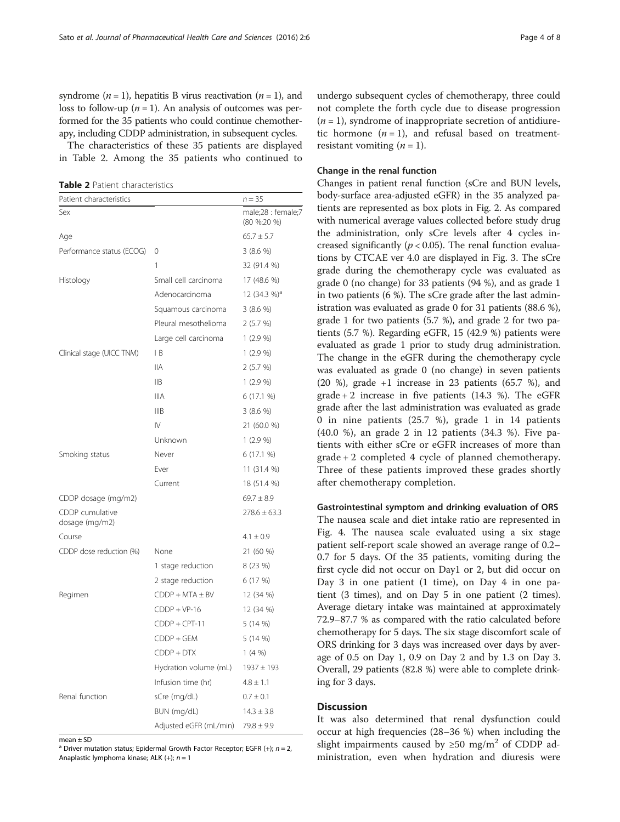syndrome ( $n = 1$ ), hepatitis B virus reactivation ( $n = 1$ ), and loss to follow-up ( $n = 1$ ). An analysis of outcomes was performed for the 35 patients who could continue chemotherapy, including CDDP administration, in subsequent cycles.

The characteristics of these 35 patients are displayed in Table 2. Among the 35 patients who continued to

Table 2 Patient characteristics

| Patient characteristics           |                        | $n = 35$                          |
|-----------------------------------|------------------------|-----------------------------------|
| Sex                               |                        | male;28 : female;7<br>(80 %:20 %) |
| Age                               |                        | $65.7 \pm 5.7$                    |
| Performance status (ECOG)         | $\mathbf 0$            | 3(8.6%)                           |
|                                   | 1                      | 32 (91.4 %)                       |
| Histology                         | Small cell carcinoma   | 17 (48.6 %)                       |
|                                   | Adenocarcinoma         | 12 $(34.3\%)^a$                   |
|                                   | Squamous carcinoma     | 3(8.6%)                           |
|                                   | Pleural mesothelioma   | 2(5.7%)                           |
|                                   | Large cell carcinoma   | $1(2.9\%)$                        |
| Clinical stage (UICC TNM)         | IB                     | 1(2.9%                            |
|                                   | <b>IIA</b>             | 2(5.7%)                           |
|                                   | IIB                    | 1(2.9%                            |
|                                   | <b>IIIA</b>            | 6(17.1%                           |
|                                   | <b>IIIB</b>            | 3(8.6%)                           |
|                                   | $\mathsf{IV}$          | 21 (60.0 %)                       |
|                                   | Unknown                | $1(2.9\%)$                        |
| Smoking status                    | Never                  | 6(17.1%                           |
|                                   | Ever                   | 11 (31.4 %)                       |
|                                   | Current                | 18 (51.4 %)                       |
| CDDP dosage (mg/m2)               |                        | $69.7 \pm 8.9$                    |
| CDDP cumulative<br>dosage (mg/m2) |                        | $278.6 \pm 63.3$                  |
| Course                            |                        | $4.1 \pm 0.9$                     |
| CDDP dose reduction (%)           | None                   | 21 (60 %)                         |
|                                   | 1 stage reduction      | 8 (23 %)                          |
|                                   | 2 stage reduction      | 6 (17 %)                          |
| Regimen                           | $CDDP + MTA \pm BV$    | 12 (34 %)                         |
|                                   | $CDDP + VP-16$         | 12 (34 %)                         |
|                                   | $CDDP + CPT-11$        | 5 (14 %)                          |
|                                   | CDDP + GEM             | 5(14%)                            |
|                                   | $CDDP + DTX$           | 1(4%                              |
|                                   | Hydration volume (mL)  | $1937 \pm 193$                    |
|                                   | Infusion time (hr)     | $4.8 \pm 1.1$                     |
| Renal function                    | sCre (mg/dL)           | $0.7 \pm 0.1$                     |
|                                   | BUN (mg/dL)            | $14.3 \pm 3.8$                    |
|                                   | Adjusted eGFR (mL/min) | $79.8 \pm 9.9$                    |

mean  $\pm$  SD

<sup>a</sup> Driver mutation status; Epidermal Growth Factor Receptor; EGFR  $(+)$ ;  $n = 2$ , Anaplastic lymphoma kinase; ALK  $(+)$ ;  $n = 1$ 

undergo subsequent cycles of chemotherapy, three could not complete the forth cycle due to disease progression  $(n = 1)$ , syndrome of inappropriate secretion of antidiuretic hormone  $(n = 1)$ , and refusal based on treatmentresistant vomiting  $(n = 1)$ .

#### Change in the renal function

Changes in patient renal function (sCre and BUN levels, body-surface area-adjusted eGFR) in the 35 analyzed patients are represented as box plots in Fig. [2.](#page-4-0) As compared with numerical average values collected before study drug the administration, only sCre levels after 4 cycles increased significantly ( $p < 0.05$ ). The renal function evaluations by CTCAE ver 4.0 are displayed in Fig. [3.](#page-4-0) The sCre grade during the chemotherapy cycle was evaluated as grade 0 (no change) for 33 patients (94 %), and as grade 1 in two patients (6 %). The sCre grade after the last administration was evaluated as grade 0 for 31 patients (88.6 %), grade 1 for two patients (5.7 %), and grade 2 for two patients (5.7 %). Regarding eGFR, 15 (42.9 %) patients were evaluated as grade 1 prior to study drug administration. The change in the eGFR during the chemotherapy cycle was evaluated as grade 0 (no change) in seven patients (20 %), grade +1 increase in 23 patients (65.7 %), and grade  $+ 2$  increase in five patients (14.3 %). The eGFR grade after the last administration was evaluated as grade 0 in nine patients (25.7 %), grade 1 in 14 patients (40.0 %), an grade 2 in 12 patients (34.3 %). Five patients with either sCre or eGFR increases of more than grade + 2 completed 4 cycle of planned chemotherapy. Three of these patients improved these grades shortly after chemotherapy completion.

#### Gastrointestinal symptom and drinking evaluation of ORS

The nausea scale and diet intake ratio are represented in Fig. [4.](#page-5-0) The nausea scale evaluated using a six stage patient self-report scale showed an average range of 0.2– 0.7 for 5 days. Of the 35 patients, vomiting during the first cycle did not occur on Day1 or 2, but did occur on Day 3 in one patient (1 time), on Day 4 in one patient (3 times), and on Day 5 in one patient (2 times). Average dietary intake was maintained at approximately 72.9–87.7 % as compared with the ratio calculated before chemotherapy for 5 days. The six stage discomfort scale of ORS drinking for 3 days was increased over days by average of 0.5 on Day 1, 0.9 on Day 2 and by 1.3 on Day 3. Overall, 29 patients (82.8 %) were able to complete drinking for 3 days.

#### **Discussion**

It was also determined that renal dysfunction could occur at high frequencies (28–36 %) when including the slight impairments caused by  $\geq 50$  mg/m<sup>2</sup> of CDDP administration, even when hydration and diuresis were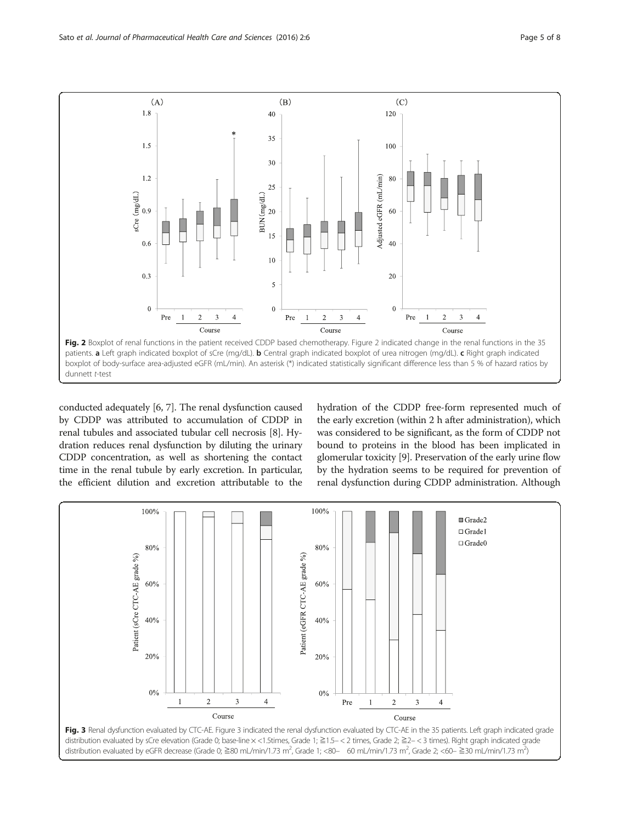<span id="page-4-0"></span>

conducted adequately [[6, 7](#page--1-0)]. The renal dysfunction caused by CDDP was attributed to accumulation of CDDP in renal tubules and associated tubular cell necrosis [\[8\]](#page--1-0). Hydration reduces renal dysfunction by diluting the urinary CDDP concentration, as well as shortening the contact time in the renal tubule by early excretion. In particular, the efficient dilution and excretion attributable to the hydration of the CDDP free-form represented much of the early excretion (within 2 h after administration), which was considered to be significant, as the form of CDDP not bound to proteins in the blood has been implicated in glomerular toxicity [\[9\]](#page--1-0). Preservation of the early urine flow by the hydration seems to be required for prevention of renal dysfunction during CDDP administration. Although

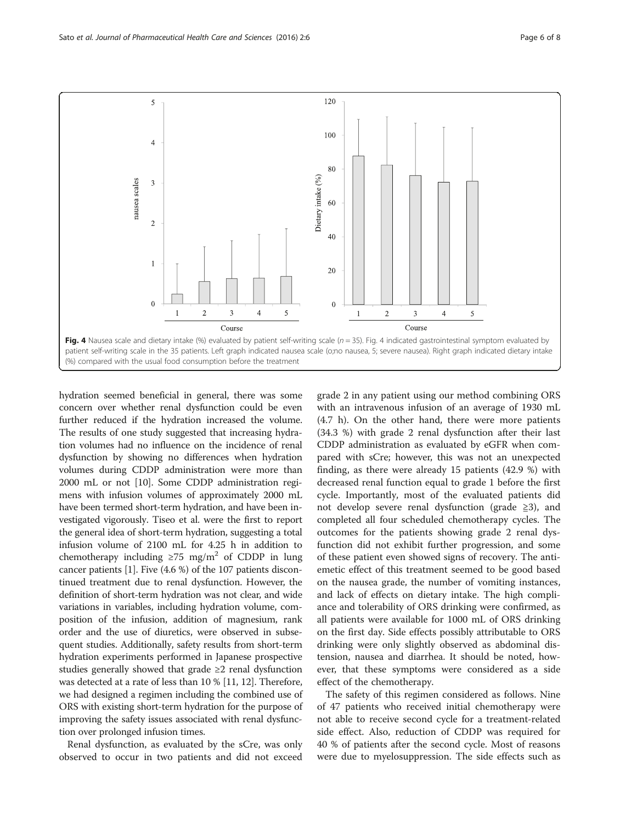<span id="page-5-0"></span>

hydration seemed beneficial in general, there was some concern over whether renal dysfunction could be even further reduced if the hydration increased the volume. The results of one study suggested that increasing hydration volumes had no influence on the incidence of renal dysfunction by showing no differences when hydration volumes during CDDP administration were more than 2000 mL or not [\[10](#page--1-0)]. Some CDDP administration regimens with infusion volumes of approximately 2000 mL have been termed short-term hydration, and have been investigated vigorously. Tiseo et al. were the first to report the general idea of short-term hydration, suggesting a total infusion volume of 2100 mL for 4.25 h in addition to chemotherapy including  $\geq 75$  mg/m<sup>2</sup> of CDDP in lung cancer patients [[1\]](#page--1-0). Five (4.6 %) of the 107 patients discontinued treatment due to renal dysfunction. However, the definition of short-term hydration was not clear, and wide variations in variables, including hydration volume, composition of the infusion, addition of magnesium, rank order and the use of diuretics, were observed in subsequent studies. Additionally, safety results from short-term hydration experiments performed in Japanese prospective studies generally showed that grade ≥2 renal dysfunction was detected at a rate of less than 10 % [\[11, 12](#page--1-0)]. Therefore, we had designed a regimen including the combined use of ORS with existing short-term hydration for the purpose of improving the safety issues associated with renal dysfunction over prolonged infusion times.

Renal dysfunction, as evaluated by the sCre, was only observed to occur in two patients and did not exceed

grade 2 in any patient using our method combining ORS with an intravenous infusion of an average of 1930 mL (4.7 h). On the other hand, there were more patients (34.3 %) with grade 2 renal dysfunction after their last CDDP administration as evaluated by eGFR when compared with sCre; however, this was not an unexpected finding, as there were already 15 patients (42.9 %) with decreased renal function equal to grade 1 before the first cycle. Importantly, most of the evaluated patients did not develop severe renal dysfunction (grade  $\geq 3$ ), and completed all four scheduled chemotherapy cycles. The outcomes for the patients showing grade 2 renal dysfunction did not exhibit further progression, and some of these patient even showed signs of recovery. The antiemetic effect of this treatment seemed to be good based on the nausea grade, the number of vomiting instances, and lack of effects on dietary intake. The high compliance and tolerability of ORS drinking were confirmed, as all patients were available for 1000 mL of ORS drinking on the first day. Side effects possibly attributable to ORS drinking were only slightly observed as abdominal distension, nausea and diarrhea. It should be noted, however, that these symptoms were considered as a side effect of the chemotherapy.

The safety of this regimen considered as follows. Nine of 47 patients who received initial chemotherapy were not able to receive second cycle for a treatment-related side effect. Also, reduction of CDDP was required for 40 % of patients after the second cycle. Most of reasons were due to myelosuppression. The side effects such as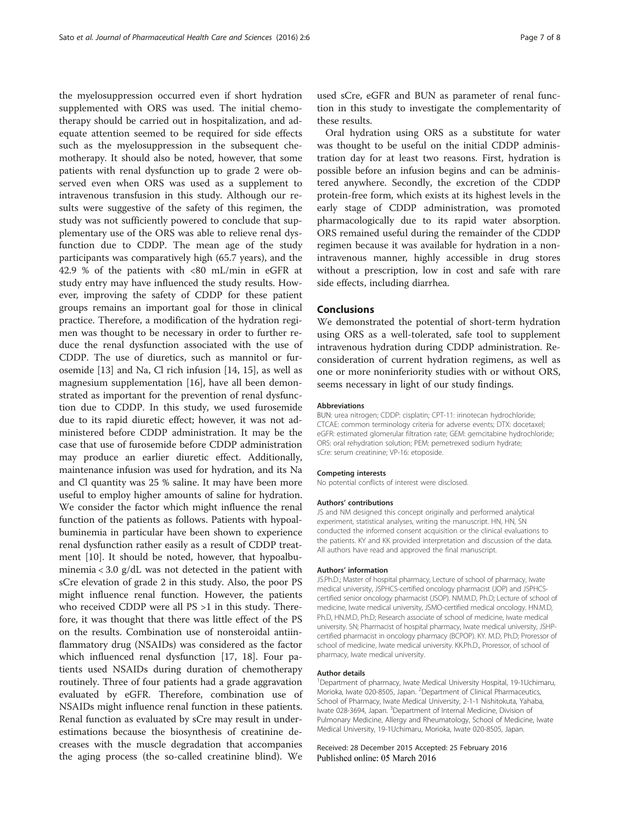the myelosuppression occurred even if short hydration supplemented with ORS was used. The initial chemotherapy should be carried out in hospitalization, and adequate attention seemed to be required for side effects such as the myelosuppression in the subsequent chemotherapy. It should also be noted, however, that some patients with renal dysfunction up to grade 2 were observed even when ORS was used as a supplement to intravenous transfusion in this study. Although our results were suggestive of the safety of this regimen, the study was not sufficiently powered to conclude that supplementary use of the ORS was able to relieve renal dysfunction due to CDDP. The mean age of the study participants was comparatively high (65.7 years), and the 42.9 % of the patients with <80 mL/min in eGFR at study entry may have influenced the study results. However, improving the safety of CDDP for these patient groups remains an important goal for those in clinical practice. Therefore, a modification of the hydration regimen was thought to be necessary in order to further reduce the renal dysfunction associated with the use of CDDP. The use of diuretics, such as mannitol or furosemide [[13](#page--1-0)] and Na, Cl rich infusion [\[14](#page--1-0), [15](#page--1-0)], as well as magnesium supplementation [\[16\]](#page--1-0), have all been demonstrated as important for the prevention of renal dysfunction due to CDDP. In this study, we used furosemide due to its rapid diuretic effect; however, it was not administered before CDDP administration. It may be the case that use of furosemide before CDDP administration may produce an earlier diuretic effect. Additionally, maintenance infusion was used for hydration, and its Na and Cl quantity was 25 % saline. It may have been more useful to employ higher amounts of saline for hydration. We consider the factor which might influence the renal function of the patients as follows. Patients with hypoalbuminemia in particular have been shown to experience renal dysfunction rather easily as a result of CDDP treatment [\[10\]](#page--1-0). It should be noted, however, that hypoalbuminemia < 3.0 g/dL was not detected in the patient with sCre elevation of grade 2 in this study. Also, the poor PS might influence renal function. However, the patients who received CDDP were all PS >1 in this study. Therefore, it was thought that there was little effect of the PS on the results. Combination use of nonsteroidal antiinflammatory drug (NSAIDs) was considered as the factor which influenced renal dysfunction [[17](#page--1-0), [18](#page--1-0)]. Four patients used NSAIDs during duration of chemotherapy routinely. Three of four patients had a grade aggravation evaluated by eGFR. Therefore, combination use of NSAIDs might influence renal function in these patients. Renal function as evaluated by sCre may result in underestimations because the biosynthesis of creatinine decreases with the muscle degradation that accompanies the aging process (the so-called creatinine blind). We

used sCre, eGFR and BUN as parameter of renal function in this study to investigate the complementarity of these results.

Oral hydration using ORS as a substitute for water was thought to be useful on the initial CDDP administration day for at least two reasons. First, hydration is possible before an infusion begins and can be administered anywhere. Secondly, the excretion of the CDDP protein-free form, which exists at its highest levels in the early stage of CDDP administration, was promoted pharmacologically due to its rapid water absorption. ORS remained useful during the remainder of the CDDP regimen because it was available for hydration in a nonintravenous manner, highly accessible in drug stores without a prescription, low in cost and safe with rare side effects, including diarrhea.

#### Conclusions

We demonstrated the potential of short-term hydration using ORS as a well-tolerated, safe tool to supplement intravenous hydration during CDDP administration. Reconsideration of current hydration regimens, as well as one or more noninferiority studies with or without ORS, seems necessary in light of our study findings.

#### Abbreviations

BUN: urea nitrogen; CDDP: cisplatin; CPT-11: irinotecan hydrochloride; CTCAE: common terminology criteria for adverse events; DTX: docetaxel; eGFR: estimated glomerular filtration rate; GEM: gemcitabine hydrochloride; ORS: oral rehydration solution; PEM: pemetrexed sodium hydrate; sCre: serum creatinine; VP-16: etoposide.

#### Competing interests

No potential conflicts of interest were disclosed.

#### Authors' contributions

JS and NM designed this concept originally and performed analytical experiment, statistical analyses, writing the manuscript. HN, HN, SN conducted the informed consent acquisition or the clinical evaluations to the patients. KY and KK provided interpretation and discussion of the data. All authors have read and approved the final manuscript.

#### Authors' information

JS.Ph.D.; Master of hospital pharmacy, Lecture of school of pharmacy, Iwate medical university, JSPHCS-certified oncology pharmacist (JOP) and JSPHCScertified senior oncology pharmacist (JSOP). NM.M.D, Ph.D; Lecture of school of medicine, Iwate medical university, JSMO-certified medical oncology. HN.M.D, Ph.D, HN.M.D, Ph.D; Research associate of school of medicine, Iwate medical university. SN; Pharmacist of hospital pharmacy, Iwate medical university, JSHPcertified pharmacist in oncology pharmacy (BCPOP). KY. M.D, Ph.D; Proressor of school of medicine, Iwate medical university. KK.Ph.D., Proressor, of school of pharmacy, Iwate medical university.

#### Author details

<sup>1</sup>Department of pharmacy, Iwate Medical University Hospital, 19-1Uchimaru Morioka, Iwate 020-8505, Japan. <sup>2</sup>Department of Clinical Pharmaceutics School of Pharmacy, Iwate Medical University, 2-1-1 Nishitokuta, Yahaba, Iwate 028-3694, Japan. <sup>3</sup>Department of Internal Medicine, Division of Pulmonary Medicine, Allergy and Rheumatology, School of Medicine, Iwate Medical University, 19-1Uchimaru, Morioka, Iwate 020-8505, Japan.

Received: 28 December 2015 Accepted: 25 February 2016 Published online: 05 March 2016